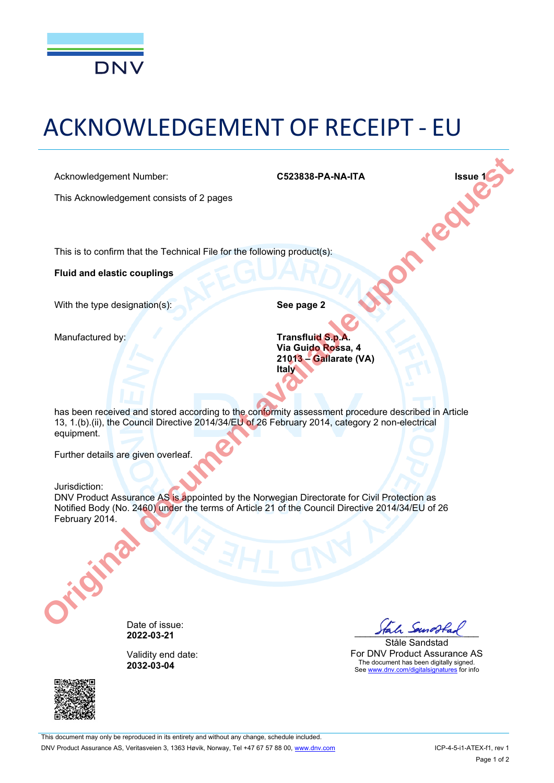

# ACKNOWLEDGEMENT OF RECEIPT - EU

This Acknowledgement consists of 2 pages

Acknowledgement Number:<br>
This Acknowledgement consists of 2 pages<br>
This is to confirm that the Technical E<sup>11</sup>-1<sup>2</sup><br>
Fluist This is to confirm that the Technical File for the following product(s):

**Fluid and elastic couplings**

With the type designation(s): **See page 2** 

Manufactured by: **Transfluid S.p.A. Via Guido Rossa, 4 21013 Gallarate (VA) Italy**

has been received and stored according to the conformity assessment procedure described in Article 13, 1.(b).(ii), the Council Directive 2014/34/EU of 26 February 2014, category 2 non-electrical equipment. Acknowledgement Number.<br>
This Acknowledgement consists of 2 pages<br>
The is to confirm that the Technical File for the following product(s):<br> **Fulld and elastic couplings**<br>
With the type designation(s):<br> **See page 2**<br>
Manufa

Further details are given overleaf.

#### Jurisdiction:

DNV Product Assurance AS is appointed by the Norwegian Directorate for Civil Protection as Notified Body (No. 2460) under the terms of Article 21 of the Council Directive 2014/34/EU of 26 February 2014.



Validity end date: **2032-03-04**



Ståle Sandstad For DNV Product Assurance AS The document has been digitally signed. See www.dnv.com/digitalsignatures for info